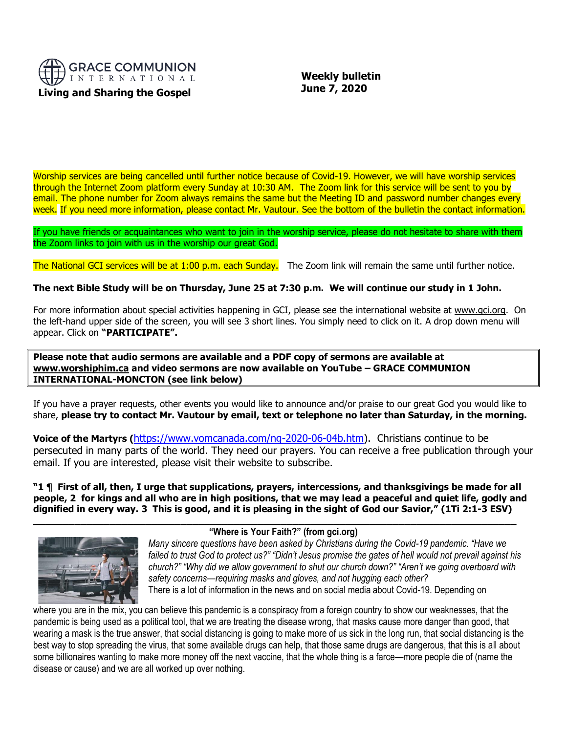

 **Weekly bulletin June 7, 2020**

Worship services are being cancelled until further notice because of Covid-19. However, we will have worship services through the Internet Zoom platform every Sunday at 10:30 AM. The Zoom link for this service will be sent to you by email. The phone number for Zoom always remains the same but the Meeting ID and password number changes every week. If you need more information, please contact Mr. Vautour. See the bottom of the bulletin the contact information.

If you have friends or acquaintances who want to join in the worship service, please do not hesitate to share with them the Zoom links to join with us in the worship our great God.

The National GCI services will be at 1:00 p.m. each Sunday. The Zoom link will remain the same until further notice.

# **The next Bible Study will be on Thursday, June 25 at 7:30 p.m. We will continue our study in 1 John.**

For more information about special activities happening in GCI, please see the international website at [www.gci.org.](http://www.gci.org/) On the left-hand upper side of the screen, you will see 3 short lines. You simply need to click on it. A drop down menu will appear. Click on **"PARTICIPATE".** 

**Please note that audio sermons are available and a PDF copy of sermons are available at [www.worshiphim.ca](http://www.worshiphim.ca/) and video sermons are now available on YouTube – GRACE COMMUNION INTERNATIONAL-MONCTON (see link below)**

If you have a prayer requests, other events you would like to announce and/or praise to our great God you would like to share, **please try to contact Mr. Vautour by email, text or telephone no later than Saturday, in the morning.**

**Voice of the Martyrs (**[https://www.vomcanada.com/ng-2020-06-04b.htm\)](https://www.vomcanada.com/ng-2020-06-04b.htm). Christians continue to be persecuted in many parts of the world. They need our prayers. You can receive a free publication through your email. If you are interested, please visit their website to subscribe.

**"1 ¶ First of all, then, I urge that supplications, prayers, intercessions, and thanksgivings be made for all people, 2 for kings and all who are in high positions, that we may lead a peaceful and quiet life, godly and dignified in every way. 3 This is good, and it is pleasing in the sight of God our Savior," (1Ti 2:1-3 ESV)**



# **"Where is Your Faith?" (from gci.org)**

**\_\_\_\_\_\_\_\_\_\_\_\_\_\_\_\_\_\_\_\_\_\_\_\_\_\_\_\_\_\_\_\_\_\_\_\_\_\_\_\_\_\_\_\_\_\_\_\_\_\_\_\_\_\_\_\_\_\_\_\_\_\_\_\_\_\_\_\_\_\_\_\_\_\_\_\_\_\_\_\_\_\_**

*Many sincere questions have been asked by Christians during the Covid-19 pandemic. "Have we failed to trust God to protect us?" "Didn't Jesus promise the gates of hell would not prevail against his church?" "Why did we allow government to shut our church down?" "Aren't we going overboard with safety concerns—requiring masks and gloves, and not hugging each other?* There is a lot of information in the news and on social media about Covid-19. Depending on

where you are in the mix, you can believe this pandemic is a conspiracy from a foreign country to show our weaknesses, that the pandemic is being used as a political tool, that we are treating the disease wrong, that masks cause more danger than good, that wearing a mask is the true answer, that social distancing is going to make more of us sick in the long run, that social distancing is the best way to stop spreading the virus, that some available drugs can help, that those same drugs are dangerous, that this is all about some billionaires wanting to make more money off the next vaccine, that the whole thing is a farce—more people die of (name the disease or cause) and we are all worked up over nothing.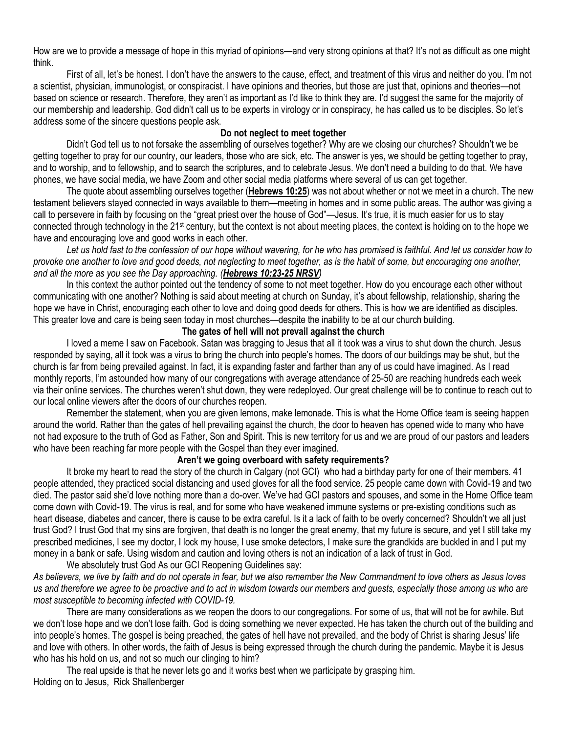How are we to provide a message of hope in this myriad of opinions—and very strong opinions at that? It's not as difficult as one might think.

First of all, let's be honest. I don't have the answers to the cause, effect, and treatment of this virus and neither do you. I'm not a scientist, physician, immunologist, or conspiracist. I have opinions and theories, but those are just that, opinions and theories—not based on science or research. Therefore, they aren't as important as I'd like to think they are. I'd suggest the same for the majority of our membership and leadership. God didn't call us to be experts in virology or in conspiracy, he has called us to be disciples. So let's address some of the sincere questions people ask.

### **Do not neglect to meet together**

Didn't God tell us to not forsake the assembling of ourselves together? Why are we closing our churches? Shouldn't we be getting together to pray for our country, our leaders, those who are sick, etc. The answer is yes, we should be getting together to pray, and to worship, and to fellowship, and to search the scriptures, and to celebrate Jesus. We don't need a building to do that. We have phones, we have social media, we have Zoom and other social media platforms where several of us can get together.

The quote about assembling ourselves together (**[Hebrews 10:25](https://biblia.com/bible/niv/Heb%2010.25)**) was not about whether or not we meet in a church. The new testament believers stayed connected in ways available to them—meeting in homes and in some public areas. The author was giving a call to persevere in faith by focusing on the "great priest over the house of God"—Jesus. It's true, it is much easier for us to stay connected through technology in the 21st century, but the context is not about meeting places, the context is holding on to the hope we have and encouraging love and good works in each other.

*Let us hold fast to the confession of our hope without wavering, for he who has promised is faithful. And let us consider how to provoke one another to love and good deeds, not neglecting to meet together, as is the habit of some, but encouraging one another, and all the more as you see the Day approaching. ([Hebrews 10:23-25 NRSV](https://biblia.com/bible/nrsv/Heb%2010.23-25))*

In this context the author pointed out the tendency of some to not meet together. How do you encourage each other without communicating with one another? Nothing is said about meeting at church on Sunday, it's about fellowship, relationship, sharing the hope we have in Christ, encouraging each other to love and doing good deeds for others. This is how we are identified as disciples. This greater love and care is being seen today in most churches—despite the inability to be at our church building.

## **The gates of hell will not prevail against the church**

I loved a meme I saw on Facebook. Satan was bragging to Jesus that all it took was a virus to shut down the church. Jesus responded by saying, all it took was a virus to bring the church into people's homes. The doors of our buildings may be shut, but the church is far from being prevailed against. In fact, it is expanding faster and farther than any of us could have imagined. As I read monthly reports, I'm astounded how many of our congregations with average attendance of 25-50 are reaching hundreds each week via their online services. The churches weren't shut down, they were redeployed. Our great challenge will be to continue to reach out to our local online viewers after the doors of our churches reopen.

Remember the statement, when you are given lemons, make lemonade. This is what the Home Office team is seeing happen around the world. Rather than the gates of hell prevailing against the church, the door to heaven has opened wide to many who have not had exposure to the truth of God as Father, Son and Spirit. This is new territory for us and we are proud of our pastors and leaders who have been reaching far more people with the Gospel than they ever imagined.

## **Aren't we going overboard with safety requirements?**

It broke my heart to read the story of the church in Calgary (not GCI) who had a birthday party for one of their members. 41 people attended, they practiced social distancing and used gloves for all the food service. 25 people came down with Covid-19 and two died. The pastor said she'd love nothing more than a do-over. We've had GCI pastors and spouses, and some in the Home Office team come down with Covid-19. The virus is real, and for some who have weakened immune systems or pre-existing conditions such as heart disease, diabetes and cancer, there is cause to be extra careful. Is it a lack of faith to be overly concerned? Shouldn't we all just trust God? I trust God that my sins are forgiven, that death is no longer the great enemy, that my future is secure, and yet I still take my prescribed medicines, I see my doctor, I lock my house, I use smoke detectors, I make sure the grandkids are buckled in and I put my money in a bank or safe. Using wisdom and caution and loving others is not an indication of a lack of trust in God.

We absolutely trust God As our GCI Reopening Guidelines say: *As believers, we live by faith and do not operate in fear, but we also remember the New Commandment to love others as Jesus loves* 

*us and therefore we agree to be proactive and to act in wisdom towards our members and guests, especially those among us who are most susceptible to becoming infected with COVID-19.* There are many considerations as we reopen the doors to our congregations. For some of us, that will not be for awhile. But

we don't lose hope and we don't lose faith. God is doing something we never expected. He has taken the church out of the building and into people's homes. The gospel is being preached, the gates of hell have not prevailed, and the body of Christ is sharing Jesus' life and love with others. In other words, the faith of Jesus is being expressed through the church during the pandemic. Maybe it is Jesus who has his hold on us, and not so much our clinging to him?

The real upside is that he never lets go and it works best when we participate by grasping him. Holding on to Jesus, Rick Shallenberger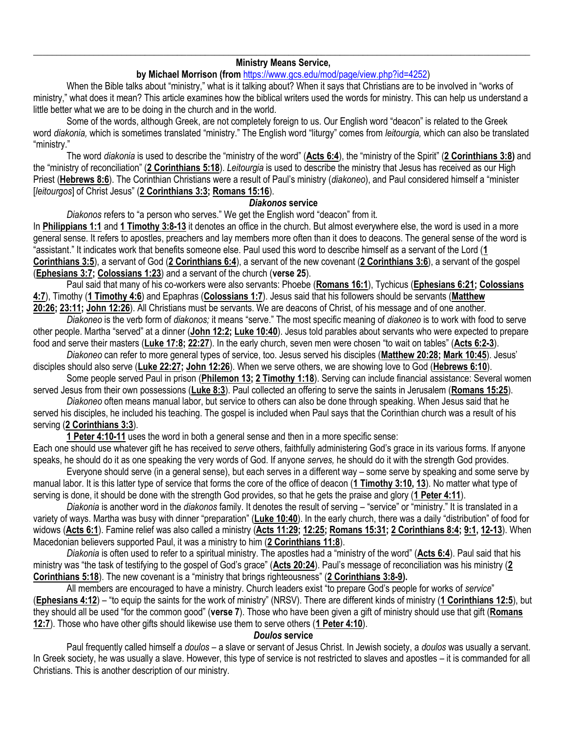#### \_\_\_\_\_\_\_\_\_\_\_\_\_\_\_\_\_\_\_\_\_\_\_\_\_\_\_\_\_\_\_\_\_\_\_\_\_\_\_\_\_\_\_\_\_\_\_\_\_\_\_\_\_\_\_\_\_\_\_\_\_\_\_\_\_\_\_\_\_\_\_\_\_\_\_\_\_\_\_\_\_\_\_\_\_\_\_\_\_\_\_\_\_\_\_\_\_\_\_\_\_\_\_\_\_\_\_ **Ministry Means Service,**

## **by Michael Morrison (from** [https://www.gcs.edu/mod/page/view.php?id=4252\)](https://www.gcs.edu/mod/page/view.php?id=4252)

When the Bible talks about "ministry," what is it talking about? When it says that Christians are to be involved in "works of ministry," what does it mean? This article examines how the biblical writers used the words for ministry. This can help us understand a little better what we are to be doing in the church and in the world.

Some of the words, although Greek, are not completely foreign to us. Our English word "deacon" is related to the Greek word *diakonia,* which is sometimes translated "ministry." The English word "liturgy" comes from *leitourgia,* which can also be translated "ministry."

The word *diakonia* is used to describe the "ministry of the word" (**[Acts 6:4](http://biblia.com/bible/niv/Acts%206.4)**), the "ministry of the Spirit" (**[2 Corinthians 3:8\)](http://biblia.com/bible/niv/2%20Cor%203.8)** and the "ministry of reconciliation" (**[2 Corinthians 5:18](http://biblia.com/bible/niv/2%20Cor%205.18)**). *Leitourgia* is used to describe the ministry that Jesus has received as our High Priest (**[Hebrews 8:6](http://biblia.com/bible/niv/Heb%208.6)**). The Corinthian Christians were a result of Paul's ministry (*diakoneo*), and Paul considered himself a "minister [*leitourgos*] of Christ Jesus" (**[2 Corinthians 3:3;](http://biblia.com/bible/niv/2%20Cor%203.3) [Romans 15:16](http://biblia.com/bible/niv/Rom%2015.16)**).

### *Diakonos* **service**

*Diakonos* refers to "a person who serves." We get the English word "deacon" from it.

In **[Philippians 1:1](http://biblia.com/bible/niv/Phil%201.1)** and **[1 Timothy 3:8-13](http://biblia.com/bible/niv/1%20Tim%203.8-13)** it denotes an office in the church. But almost everywhere else, the word is used in a more general sense. It refers to apostles, preachers and lay members more often than it does to deacons. The general sense of the word is "assistant." It indicates work that benefits someone else. Paul used this word to describe himself as a servant of the Lord (**[1](http://biblia.com/bible/niv/1%20Cor%203.5)  [Corinthians 3:5](http://biblia.com/bible/niv/1%20Cor%203.5)**), a servant of God (**[2 Corinthians 6:4](http://biblia.com/bible/niv/2%20Cor%206.4)**), a servant of the new covenant (**[2 Corinthians 3:6](http://biblia.com/bible/niv/2%20Cor%203.6)**), a servant of the gospel (**[Ephesians 3:7;](http://biblia.com/bible/niv/Eph%203.7) [Colossians 1:23](http://biblia.com/bible/niv/Col%201.23)**) and a servant of the church (**verse 25**).

Paul said that many of his co-workers were also servants: Phoebe (**[Romans](http://biblia.com/bible/niv/Rom%2016.1) 16:1**), Tychicus (**[Ephesians 6:21;](http://biblia.com/bible/niv/Eph%206.21) [Colossians](http://biblia.com/bible/niv/Col%204.7)  [4:7](http://biblia.com/bible/niv/Col%204.7)**), Timothy (**[1 Timothy 4:6](http://biblia.com/bible/niv/1%20Tim%204.6)**) and Epaphras (**[Colossians 1:7](http://biblia.com/bible/niv/Col%201.7)**). Jesus said that his followers should be servants (**[Matthew](http://biblia.com/bible/niv/Matt%2020.26)  [20:26;](http://biblia.com/bible/niv/Matt%2020.26) [23:11;](http://biblia.com/bible/niv/Matthew%2023.11) [John 12:26](http://biblia.com/bible/niv/John%2012.26)**). All Christians must be servants. We are deacons of Christ, of his message and of one another.

*Diakoneo* is the verb form of *diakonos;* it means "serve." The most specific meaning of *diakoneo* is to work with food to serve other people. Martha "served" at a dinner (**[John 12:2;](http://biblia.com/bible/niv/John%2012.2) [Luke 10:40](http://biblia.com/bible/niv/Luke%2010.40)**). Jesus told parables about servants who were expected to prepare food and serve their masters (**[Luke 17:8;](http://biblia.com/bible/niv/Luke%2017.8) [22:27](http://biblia.com/bible/niv/Luke%2022.27)**). In the early church, seven men were chosen "to wait on tables" (**[Acts 6:2-3](http://biblia.com/bible/niv/Acts%206.2-3)**).

*Diakoneo* can refer to more general types of service, too. Jesus served his disciples (**[Matthew 20:28;](http://biblia.com/bible/niv/Matt%2020.28) [Mark 10:45](http://biblia.com/bible/niv/Mark%2010.45)**). Jesus' disciples should also serve (**[Luke 22:27;](http://biblia.com/bible/niv/Luke%2022.27) [John 12:26](http://biblia.com/bible/niv/John%2012.26)**). When we serve others, we are showing love to God (**[Hebrews 6:10](http://biblia.com/bible/niv/Heb%206.10)**).

Some people served Paul in prison (**[Philemon 13;](http://biblia.com/bible/niv/Philem%2013) [2 Timothy 1:18](http://biblia.com/bible/niv/2%20Tim%201.18)**). Serving can include financial assistance: Several women served Jesus from their own possessions (**[Luke 8:3](http://biblia.com/bible/niv/Luke%208.3)**). Paul collected an offering to serve the saints in Jerusalem (**[Romans 15:25](http://biblia.com/bible/niv/Rom%2015.25)**).

*Diakoneo* often means manual labor, but service to others can also be done through speaking. When Jesus said that he served his disciples, he included his teaching. The gospel is included when Paul says that the Corinthian church was a result of his serving (**[2 Corinthians 3:3](http://biblia.com/bible/niv/2%20Cor%203.3)**).

**[1 Peter 4:10-11](http://biblia.com/bible/niv/1%20Pet%204.10-11)** uses the word in both a general sense and then in a more specific sense:

Each one should use whatever gift he has received to *serve* others, faithfully administering God's grace in its various forms. If anyone speaks, he should do it as one speaking the very words of God. If anyone *serves,* he should do it with the strength God provides.

Everyone should serve (in a general sense), but each serves in a different way – some serve by speaking and some serve by manual labor. It is this latter type of service that forms the core of the office of deacon (**[1 Timothy 3:10,](http://biblia.com/bible/niv/1%20Tim%203.10) [13](http://biblia.com/bible/niv/1%20Timothy%203.13)**). No matter what type of serving is done, it should be done with the strength God provides, so that he gets the praise and glory (**[1 Peter 4:11](http://biblia.com/bible/niv/1%20Pet%204.11)**).

*Diakonia* is another word in the *diakonos* family. It denotes the result of serving – "service" or "ministry." It is translated in a variety of ways. Martha was busy with dinner "preparation" (**[Luke 10:40](http://biblia.com/bible/niv/Luke%2010.40)**). In the early church, there was a daily "distribution" of food for widows (**[Acts 6:1](http://biblia.com/bible/niv/Acts%206.1)**). Famine relief was also called a ministry (**[Acts 11:29;](http://biblia.com/bible/niv/Acts%2011.29) [12:25;](http://biblia.com/bible/niv/Acts%2012.25) [Romans 15:31;](http://biblia.com/bible/niv/Rom%2015.31) [2 Corinthians 8:4;](http://biblia.com/bible/niv/2%20Cor%208.4) [9:1,](http://biblia.com/bible/niv/2%20Corinthians%209.1) [12-13](http://biblia.com/bible/niv/2%20Corinthians%209.12-13)**). When Macedonian believers supported Paul, it was a ministry to him (**[2 Corinthians 11:8](http://biblia.com/bible/niv/2%20Cor%2011.8)**).

*Diakonia* is often used to refer to a spiritual ministry. The apostles had a "ministry of the word" (**[Acts 6:4](http://biblia.com/bible/niv/Acts%206.4)**). Paul said that his ministry was "the task of testifying to the gospel of God's grace" (**[Acts 20:24](http://biblia.com/bible/niv/Acts%2020.24)**). Paul's message of reconciliation was his ministry (**[2](http://biblia.com/bible/niv/2%20Cor%205.18)  [Corinthians 5:18](http://biblia.com/bible/niv/2%20Cor%205.18)**). The new covenant is a "ministry that brings righteousness" (**[2 Corinthians 3:8-9\)](http://biblia.com/bible/niv/2%20Cor%203.8-9).**

All members are encouraged to have a ministry. Church leaders exist "to prepare God's people for works of *service*" (**[Ephesians 4:12](http://biblia.com/bible/niv/Eph%204.12)**) – "to equip the saints for the work of ministry" (NRSV). There are different kinds of ministry (**[1 Corinthians 12:5](http://biblia.com/bible/niv/1%20Cor%2012.5)**), but they should all be used "for the common good" (**verse 7**). Those who have been given a gift of ministry should use that gift (**[Romans](http://biblia.com/bible/niv/Rom%2012.7)  [12:7](http://biblia.com/bible/niv/Rom%2012.7)**). Those who have other gifts should likewise use them to serve others (**[1 Peter 4:10](http://biblia.com/bible/niv/1%20Pet%204.10)**).

## *Doulos* **service**

Paul frequently called himself a *doulos* – a slave or servant of Jesus Christ. In Jewish society, a *doulos* was usually a servant. In Greek society, he was usually a slave. However, this type of service is not restricted to slaves and apostles – it is commanded for all Christians. This is another description of our ministry.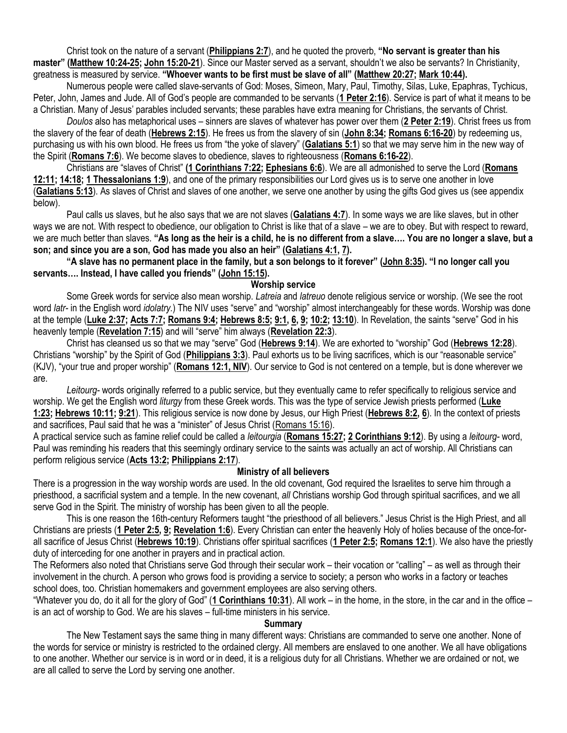Christ took on the nature of a servant (**[Philippians 2:7](http://biblia.com/bible/niv/Phil%202.7)**), and he quoted the proverb, **"No servant is greater than his master" ([Matthew 10:24-25;](http://biblia.com/bible/niv/Matt%2010.24-25) [John 15:20-21](http://biblia.com/bible/niv/John%2015.20-21)**). Since our Master served as a servant, shouldn't we also be servants? In Christianity, greatness is measured by service. **"Whoever wants to be first must be slave of all" ([Matthew 20:27;](http://biblia.com/bible/niv/Matt%2020.27) [Mark 10:44\)](http://biblia.com/bible/niv/Mark%2010.44).**

Numerous people were called slave-servants of God: Moses, Simeon, Mary, Paul, Timothy, Silas, Luke, Epaphras, Tychicus, Peter, John, James and Jude. All of God's people are commanded to be servants (**[1 Peter 2:16](http://biblia.com/bible/niv/1%20Pet%202.16)**). Service is part of what it means to be a Christian. Many of Jesus' parables included servants; these parables have extra meaning for Christians, the servants of Christ.

*Doulos* also has metaphorical uses – sinners are slaves of whatever has power over them (**[2 Peter 2:19](http://biblia.com/bible/niv/2%20Pet%202.19)**). Christ frees us from the slavery of the fear of death (**[Hebrews 2:15](http://biblia.com/bible/niv/Heb%202.15)**). He frees us from the slavery of sin (**[John 8:34;](http://biblia.com/bible/niv/John%208.34) [Romans 6:16-20](http://biblia.com/bible/niv/Rom%206.16-20)**) by redeeming us, purchasing us with his own blood. He frees us from "the yoke of slavery" (**[Galatians 5:1](http://biblia.com/bible/niv/Gal%205.1)**) so that we may serve him in the new way of the Spirit (**[Romans 7:6](http://biblia.com/bible/niv/Rom%207.6)**). We become slaves to obedience, slaves to righteousness (**[Romans 6:16-22](http://biblia.com/bible/niv/Rom%206.16-22)**).

Christians are "slaves of Christ" **[\(1 Corinthians 7:22;](http://biblia.com/bible/niv/1%20Cor%207.22) [Ephesians 6:6](http://biblia.com/bible/niv/Eph%206.6)**). We are all admonished to serve the Lord (**[Romans](http://biblia.com/bible/niv/Rom%2012.11)  [12:11;](http://biblia.com/bible/niv/Rom%2012.11) [14:18;](http://biblia.com/bible/niv/Romans%2014.18) [1 Thessalonians 1:9](http://biblia.com/bible/niv/1%20Thess%201.9)**), and one of the primary responsibilities our Lord gives us is to serve one another in love (**[Galatians 5:13](http://biblia.com/bible/niv/Gal%205.13)**). As slaves of Christ and slaves of one another, we serve one another by using the gifts God gives us (see appendix below).

Paul calls us slaves, but he also says that we are not slaves (**[Galatians 4:7](http://biblia.com/bible/niv/Gal%204.7)**). In some ways we are like slaves, but in other ways we are not. With respect to obedience, our obligation to Christ is like that of a slave – we are to obey. But with respect to reward, we are much better than slaves. **"As long as the heir is a child, he is no different from a slave…. You are no longer a slave, but a son; and since you are a son, God has made you also an heir" ([Galatians 4:1,](http://biblia.com/bible/niv/Gal%204.1) [7\)](http://biblia.com/bible/niv/Galatians%204.7).**

**"A slave has no permanent place in the family, but a son belongs to it forever" ([John 8:35](http://biblia.com/bible/niv/John%208.35)). "I no longer call you servants…. Instead, I have called you friends" ([John 15:15\)](http://biblia.com/bible/niv/John%2015.15).**

## **Worship service**

Some Greek words for service also mean worship. *Latreia* and *latreuo* denote religious service or worship. (We see the root word *latr-* in the English word *idolatry.*) The NIV uses "serve" and "worship" almost interchangeably for these words. Worship was done at the temple (**[Luke 2:37;](http://biblia.com/bible/niv/Luke%202.37) [Acts 7:7;](http://biblia.com/bible/niv/Acts%207.7) [Romans 9:4;](http://biblia.com/bible/niv/Rom%209.4) [Hebrews 8:5;](http://biblia.com/bible/niv/Heb%208.5) [9:1,](http://biblia.com/bible/niv/Hebrews%209.1) [6,](http://biblia.com/bible/niv/Hebrews%209.6) [9;](http://biblia.com/bible/niv/Hebrews%209.9) [10:2;](http://biblia.com/bible/niv/Hebrews%2010.2) [13:10](http://biblia.com/bible/niv/Hebrews%2013.10)**). In Revelation, the saints "serve" God in his heavenly temple (**[Revelation 7:15](http://biblia.com/bible/niv/Rev%207.15)**) and will "serve" him always (**[Revelation 22:3](http://biblia.com/bible/niv/Rev%2022.3)**).

Christ has cleansed us so that we may "serve" God (**[Hebrews 9:14](http://biblia.com/bible/niv/Heb%209.14)**). We are exhorted to "worship" God (**[Hebrews 12:28](http://biblia.com/bible/niv/Heb%2012.28)**). Christians "worship" by the Spirit of God (**[Philippians 3:3](http://biblia.com/bible/niv/Phil%203.3)**). Paul exhorts us to be living sacrifices, which is our "reasonable service" (KJV), "your true and proper worship" (**[Romans 12:1, NIV](http://biblia.com/bible/niv/Rom%2012.1)**). Our service to God is not centered on a temple, but is done wherever we are.

*Leitourg-* words originally referred to a public service, but they eventually came to refer specifically to religious service and worship. We get the English word *liturgy* from these Greek words. This was the type of service Jewish priests performed (**[Luke](http://biblia.com/bible/niv/Luke%201.23)  [1:23;](http://biblia.com/bible/niv/Luke%201.23) [Hebrews 10:11;](http://biblia.com/bible/niv/Heb%2010.11) [9:21](http://biblia.com/bible/niv/Hebrews%209.21)**). This religious service is now done by Jesus, our High Priest (**[Hebrews 8:2,](http://biblia.com/bible/niv/Heb%208.2) [6](http://biblia.com/bible/niv/Hebrews%208.6)**). In the context of priests and sacrifices, Paul said that he was a "minister" of Jesus Christ ([Romans 15:16\)](http://biblia.com/bible/niv/Rom%2015.16).

A practical service such as famine relief could be called a *leitourgia* (**[Romans 15:27;](http://biblia.com/bible/niv/Rom%2015.27) [2 Corinthians 9:12](http://biblia.com/bible/niv/2%20Cor%209.12)**). By using a *leitourg-* word, Paul was reminding his readers that this seemingly ordinary service to the saints was actually an act of worship. All Christians can perform religious service (**[Acts 13:2;](http://biblia.com/bible/niv/Acts%2013.2) [Philippians 2:17](http://biblia.com/bible/niv/Phil%202.17)**).

## **Ministry of all believers**

There is a progression in the way worship words are used. In the old covenant, God required the Israelites to serve him through a priesthood, a sacrificial system and a temple. In the new covenant, *all* Christians worship God through spiritual sacrifices, and we all serve God in the Spirit. The ministry of worship has been given to all the people.

This is one reason the 16th-century Reformers taught "the priesthood of all believers." Jesus Christ is the High Priest, and all Christians are priests (**[1 Peter 2:5,](http://biblia.com/bible/niv/1%20Pet%202.5) [9;](http://biblia.com/bible/niv/1%20Peter%202.9) [Revelation 1:6](http://biblia.com/bible/niv/Rev%201.6)**). Every Christian can enter the heavenly Holy of holies because of the once-forall sacrifice of Jesus Christ (**[Hebrews 10:19](http://biblia.com/bible/niv/Heb%2010.19)**). Christians offer spiritual sacrifices (**[1 Peter 2:5;](http://biblia.com/bible/niv/1%20Pet%202.5) [Romans 12:1](http://biblia.com/bible/niv/Rom%2012.1)**). We also have the priestly duty of interceding for one another in prayers and in practical action.

The Reformers also noted that Christians serve God through their secular work – their vocation or "calling" – as well as through their involvement in the church. A person who grows food is providing a service to society; a person who works in a factory or teaches school does, too. Christian homemakers and government employees are also serving others.

"Whatever you do, do it all for the glory of God" (**[1 Corinthians 10:31](http://biblia.com/bible/niv/1%20Cor%2010.31)**). All work – in the home, in the store, in the car and in the office – is an act of worship to God. We are his slaves – full-time ministers in his service.

#### **Summary**

The New Testament says the same thing in many different ways: Christians are commanded to serve one another. None of the words for service or ministry is restricted to the ordained clergy. All members are enslaved to one another. We all have obligations to one another. Whether our service is in word or in deed, it is a religious duty for all Christians. Whether we are ordained or not, we are all called to serve the Lord by serving one another.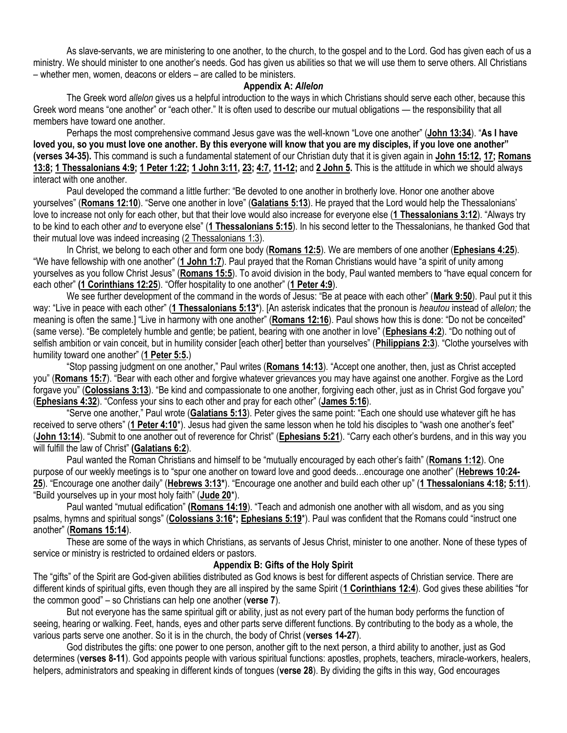As slave-servants, we are ministering to one another, to the church, to the gospel and to the Lord. God has given each of us a ministry. We should minister to one another's needs. God has given us abilities so that we will use them to serve others. All Christians – whether men, women, deacons or elders – are called to be ministers.

### **Appendix A:** *Allelon*

The Greek word *allelon* gives us a helpful introduction to the ways in which Christians should serve each other, because this Greek word means "one another" or "each other." It is often used to describe our mutual obligations — the responsibility that all members have toward one another.

Perhaps the most comprehensive command Jesus gave was the well-known "Love one another" (**[John 13:34](https://biblia.com/bible/niv/John%2013.34)**). "**As I have loved you, so you must love one another. By this everyone will know that you are my disciples, if you love one another" (verses 34-35).** This command is such a fundamental statement of our Christian duty that it is given again in **[John 15:12,](https://biblia.com/bible/niv/John%2015.12) [17;](https://biblia.com/bible/niv/John%2015.17) [Romans](https://biblia.com/bible/niv/Rom%2013.8)  [13:8;](https://biblia.com/bible/niv/Rom%2013.8) [1 Thessalonians 4:9;](https://biblia.com/bible/niv/1%20Thess%204.9) [1 Peter 1:22;](https://biblia.com/bible/niv/1%20Pet%201.22) [1 John 3:11,](https://biblia.com/bible/niv/1%20John%203.11) [23;](https://biblia.com/bible/niv/1%20John%203.23) [4:7,](https://biblia.com/bible/niv/1%20John%204.7) [11-12;](https://biblia.com/bible/niv/1%20John%204.11-12)** and **[2 John 5.](https://biblia.com/bible/niv/2%20John%205)** This is the attitude in which we should always interact with one another.

Paul developed the command a little further: "Be devoted to one another in brotherly love. Honor one another above yourselves" (**[Romans 12:10](https://biblia.com/bible/niv/Rom%2012.10)**). "Serve one another in love" (**[Galatians 5:13](https://biblia.com/bible/niv/Gal%205.13)**). He prayed that the Lord would help the Thessalonians' love to increase not only for each other, but that their love would also increase for everyone else (**[1 Thessalonians 3:12](https://biblia.com/bible/niv/1%20Thess%203.12)**). "Always try to be kind to each other *and* to everyone else" (**[1 Thessalonians 5:15](https://biblia.com/bible/niv/1%20Thess%205.15)**). In his second letter to the Thessalonians, he thanked God that their mutual love was indeed increasing [\(2 Thessalonians 1:3\)](https://biblia.com/bible/niv/2%20Thess%201.3).

In Christ, we belong to each other and form one body (**[Romans 12:5](https://biblia.com/bible/niv/Rom%2012.5)**). We are members of one another (**[Ephesians 4:25](https://biblia.com/bible/niv/Eph%204.25)**). "We have fellowship with one another" (**[1 John 1:7](https://biblia.com/bible/niv/1%20John%201.7)**). Paul prayed that the Roman Christians would have "a spirit of unity among yourselves as you follow Christ Jesus" (**[Romans 15:5](https://biblia.com/bible/niv/Rom%2015.5)**). To avoid division in the body, Paul wanted members to "have equal concern for each other" **[\(1 Corinthians 12:25](https://biblia.com/bible/niv/1%20Cor%2012.25)**). "Offer hospitality to one another" (**[1 Peter 4:9](https://biblia.com/bible/niv/1%20Pet%204.9)**).

We see further development of the command in the words of Jesus: "Be at peace with each other" (**[Mark 9:50](https://biblia.com/bible/niv/Mark%209.50)**). Paul put it this way: "Live in peace with each other" (**[1 Thessalonians 5:13\\*](https://biblia.com/bible/niv/1%20Thess%205.13)**). [An asterisk indicates that the pronoun is *heautou* instead of *allelon;* the meaning is often the same*.*] "Live in harmony with one another" (**[Romans 12:16](https://biblia.com/bible/niv/Rom%2012.16)**). Paul shows how this is done: "Do not be conceited" (same verse). "Be completely humble and gentle; be patient, bearing with one another in love" (**[Ephesians 4:2](https://biblia.com/bible/niv/Eph%204.2)**). "Do nothing out of selfish ambition or vain conceit, but in humility consider [each other] better than yourselves" (**[Philippians 2:3](https://biblia.com/bible/niv/Phil%202.3)**). "Clothe yourselves with humility toward one another" (**[1 Peter 5:5.](https://biblia.com/bible/niv/1%20Pet%205.5)**)

"Stop passing judgment on one another," Paul writes (**[Romans 14:13](https://biblia.com/bible/niv/Rom%2014.13)**). "Accept one another, then, just as Christ accepted you" (**[Romans 15:7](https://biblia.com/bible/niv/Rom%2015.7)**). "Bear with each other and forgive whatever grievances you may have against one another. Forgive as the Lord forgave you" (**[Colossians 3:13](https://biblia.com/bible/niv/Col%203.13)**). "Be kind and compassionate to one another, forgiving each other, just as in Christ God forgave you" (**[Ephesians 4:32](https://biblia.com/bible/niv/Eph%204.32)**). "Confess your sins to each other and pray for each other" (**[James 5:16](https://biblia.com/bible/niv/James%205.16)**).

"Serve one another," Paul wrote (**[Galatians 5:13](https://biblia.com/bible/niv/Gal%205.13)**). Peter gives the same point: "Each one should use whatever gift he has received to serve others" (**[1 Peter 4:10](https://biblia.com/bible/niv/1%20Pet%204.10)**\*). Jesus had given the same lesson when he told his disciples to "wash one another's feet" (**[John 13:14](https://biblia.com/bible/niv/John%2013.14)**). "Submit to one another out of reverence for Christ" (**[Ephesians 5:21](https://biblia.com/bible/niv/Eph%205.21)**). "Carry each other's burdens, and in this way you will fulfill the law of Christ" **[\(Galatians 6:2](https://biblia.com/bible/niv/Gal%206.2)**).

Paul wanted the Roman Christians and himself to be "mutually encouraged by each other's faith" (**[Romans 1:12](https://biblia.com/bible/niv/Rom%201.12)**). One purpose of our weekly meetings is to "spur one another on toward love and good deeds…encourage one another" (**[Hebrews 10:24-](https://biblia.com/bible/niv/Heb%2010.24-25) [25](https://biblia.com/bible/niv/Heb%2010.24-25)**). "Encourage one another daily" (**[Hebrews 3:13\\*](https://biblia.com/bible/niv/Heb%203.13)**). "Encourage one another and build each other up" (**[1 Thessalonians 4:18;](https://biblia.com/bible/niv/1%20Thess%204.18) [5:11](https://biblia.com/bible/niv/1%20Thessalonians%205.11)**). "Build yourselves up in your most holy faith" (**[Jude 20](https://biblia.com/bible/niv/Jude%2020)**\*).

Paul wanted "mutual edification" **[\(Romans 14:19](https://biblia.com/bible/niv/Rom%2014.19)**). "Teach and admonish one another with all wisdom, and as you sing psalms, hymns and spiritual songs" (**[Colossians 3:16\\*](https://biblia.com/bible/niv/Col%203.16); [Ephesians 5:19](https://biblia.com/bible/niv/Eph%205.19)**\*). Paul was confident that the Romans could "instruct one another" (**[Romans 15:14](https://biblia.com/bible/niv/Rom%2015.14)**).

These are some of the ways in which Christians, as servants of Jesus Christ, minister to one another. None of these types of service or ministry is restricted to ordained elders or pastors.

## **Appendix B: Gifts of the Holy Spirit**

The "gifts" of the Spirit are God-given abilities distributed as God knows is best for different aspects of Christian service. There are different kinds of spiritual gifts, even though they are all inspired by the same Spirit (**[1 Corinthians 12:4](http://biblia.com/bible/niv/1%20Cor%2012.4)**). God gives these abilities "for the common good" – so Christians can help one another (**verse 7**).

But not everyone has the same spiritual gift or ability, just as not every part of the human body performs the function of seeing, hearing or walking. Feet, hands, eyes and other parts serve different functions. By contributing to the body as a whole, the various parts serve one another. So it is in the church, the body of Christ (**verses 14-27**).

God distributes the gifts: one power to one person, another gift to the next person, a third ability to another, just as God determines (**verses 8-11**). God appoints people with various spiritual functions: apostles, prophets, teachers, miracle-workers, healers, helpers, administrators and speaking in different kinds of tongues (**verse 28**). By dividing the gifts in this way, God encourages